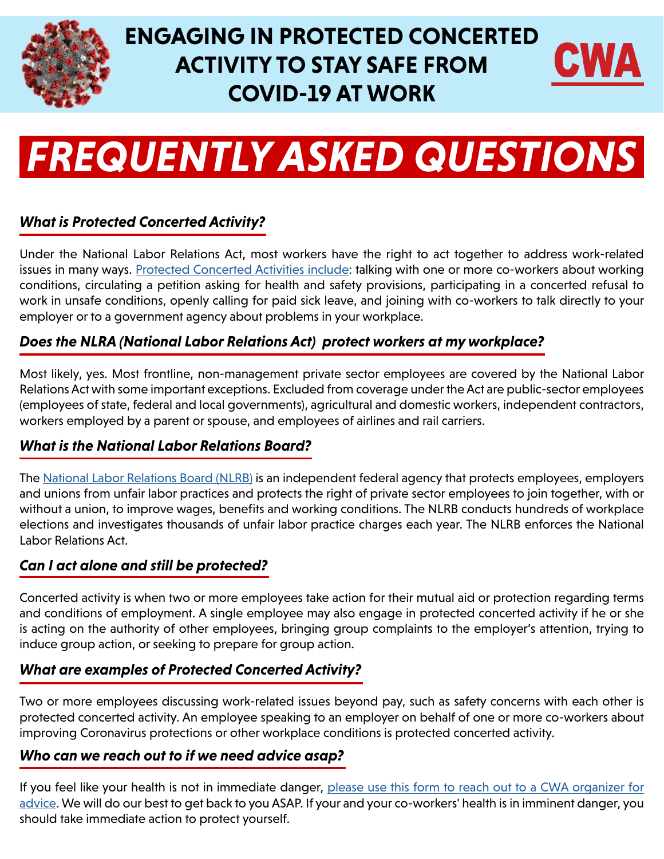

# **ENGAGING IN PROTECTED CONCERTED ACTIVITY TO STAY SAFE FROM COVID-19 AT WORK**



# *FREQUENTLY ASKED QUESTIONS*

# *What is Protected Concerted Activity?*

Under the National Labor Relations Act, most workers have the right to act together to address work-related issues in many ways. [Protected Concerted Activities include:](https://www.nlrb.gov/rights-we-protect/whats-law/employees/i-am-represented-union/concerted-activity) talking with one or more co-workers about working conditions, circulating a petition asking for health and safety provisions, participating in a concerted refusal to work in unsafe conditions, openly calling for paid sick leave, and joining with co-workers to talk directly to your employer or to a government agency about problems in your workplace.

# *Does the NLRA (National Labor Relations Act) protect workers at my workplace?*

Most likely, yes. Most frontline, non-management private sector employees are covered by the National Labor Relations Act with some important exceptions. Excluded from coverage under the Act are public-sector employees (employees of state, federal and local governments), agricultural and domestic workers, independent contractors, workers employed by a parent or spouse, and employees of airlines and rail carriers.

# *What is the National Labor Relations Board?*

The [National Labor Relations Board \(NLRB\)](https://www.nlrb.gov/) is an independent federal agency that protects employees, employers and unions from unfair labor practices and protects the right of private sector employees to join together, with or without a union, to improve wages, benefits and working conditions. The NLRB conducts hundreds of workplace elections and investigates thousands of unfair labor practice charges each year. The NLRB enforces the National Labor Relations Act.

# *Can I act alone and still be protected?*

Concerted activity is when two or more employees take action for their mutual aid or protection regarding terms and conditions of employment. A single employee may also engage in protected concerted activity if he or she is acting on the authority of other employees, bringing group complaints to the employer's attention, trying to induce group action, or seeking to prepare for group action.

# *What are examples of Protected Concerted Activity?*

Two or more employees discussing work-related issues beyond pay, such as safety concerns with each other is protected concerted activity. An employee speaking to an employer on behalf of one or more co-workers about improving Coronavirus protections or other workplace conditions is protected concerted activity.

#### *Who can we reach out to if we need advice asap?*

If you feel like your health is not in immediate danger, please use this form to reach out to a CWA organizer for [advice.](https://cwa-union.org/COVID19Organizing) We will do our best to get back to you ASAP. If your and your co-workers' health is in imminent danger, you should take immediate action to protect yourself.